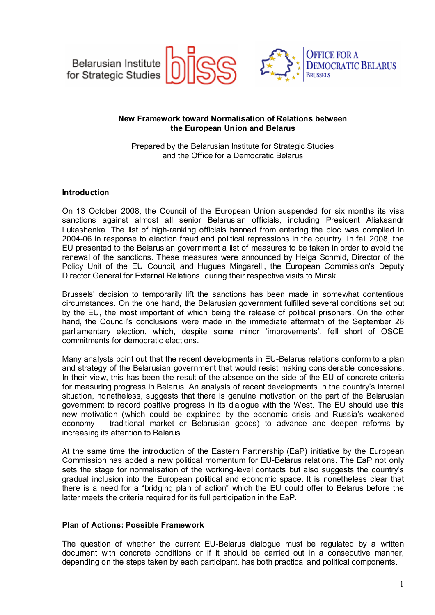Belarusian Institute for Strategic Studies





### **New Framework toward Normalisation of Relations between the European Union and Belarus**

Prepared by the Belarusian Institute for Strategic Studies and the Office for a Democratic Belarus

## **Introduction**

On 13 October 2008, the Council of the European Union suspended for six months its visa sanctions against almost all senior Belarusian officials, including President Aliaksandr Lukashenka. The list of high-ranking officials banned from entering the bloc was compiled in 2004-06 in response to election fraud and political repressions in the country. In fall 2008, the EU presented to the Belarusian government a list of measures to be taken in order to avoid the renewal of the sanctions. These measures were announced by Helga Schmid, Director of the Policy Unit of the EU Council, and Hugues Mingarelli, the European Commission's Deputy Director General for External Relations, during their respective visits to Minsk.

Brussels' decision to temporarily lift the sanctions has been made in somewhat contentious circumstances. On the one hand, the Belarusian government fulfilled several conditions set out by the EU, the most important of which being the release of political prisoners. On the other hand, the Council's conclusions were made in the immediate aftermath of the September 28 parliamentary election, which, despite some minor 'improvements', fell short of OSCE commitments for democratic elections.

Many analysts point out that the recent developments in EU-Belarus relations conform to a plan and strategy of the Belarusian government that would resist making considerable concessions. In their view, this has been the result of the absence on the side of the EU of concrete criteria for measuring progress in Belarus. An analysis of recent developments in the country's internal situation, nonetheless, suggests that there is genuine motivation on the part of the Belarusian government to record positive progress in its dialogue with the West. The EU should use this new motivation (which could be explained by the economic crisis and Russia's weakened economy – traditional market or Belarusian goods) to advance and deepen reforms by increasing its attention to Belarus.

At the same time the introduction of the Eastern Partnership (EaP) initiative by the European Commission has added a new political momentum for EU-Belarus relations. The EaP not only sets the stage for normalisation of the working-level contacts but also suggests the country's gradual inclusion into the European political and economic space. It is nonetheless clear that there is a need for a "bridging plan of action" which the EU could offer to Belarus before the latter meets the criteria required for its full participation in the EaP.

#### **Plan of Actions: Possible Framework**

The question of whether the current EU-Belarus dialogue must be regulated by a written document with concrete conditions or if it should be carried out in a consecutive manner, depending on the steps taken by each participant, has both practical and political components.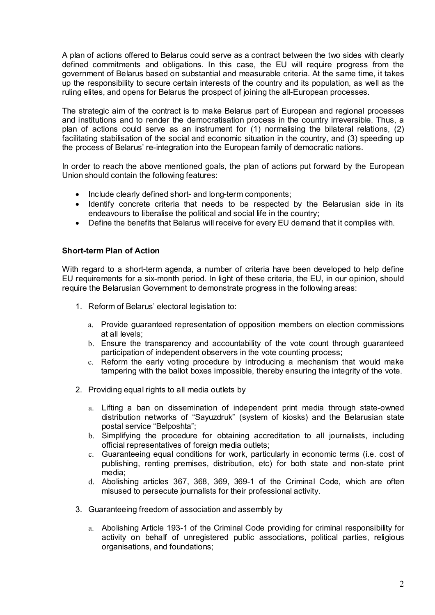A plan of actions offered to Belarus could serve as a contract between the two sides with clearly defined commitments and obligations. In this case, the EU will require progress from the government of Belarus based on substantial and measurable criteria. At the same time, it takes up the responsibility to secure certain interests of the country and its population, as well as the ruling elites, and opens for Belarus the prospect of joining the all-European processes.

The strategic aim of the contract is to make Belarus part of European and regional processes and institutions and to render the democratisation process in the country irreversible. Thus, a plan of actions could serve as an instrument for (1) normalising the bilateral relations, (2) facilitating stabilisation of the social and economic situation in the country, and (3) speeding up the process of Belarus' re-integration into the European family of democratic nations.

In order to reach the above mentioned goals, the plan of actions put forward by the European Union should contain the following features:

- Include clearly defined short- and long-term components;
- · Identify concrete criteria that needs to be respected by the Belarusian side in its endeavours to liberalise the political and social life in the country;
- · Define the benefits that Belarus will receive for every EU demand that it complies with.

## **Short-term Plan of Action**

With regard to a short-term agenda, a number of criteria have been developed to help define EU requirements for a six-month period. In light of these criteria, the EU, in our opinion, should require the Belarusian Government to demonstrate progress in the following areas:

- 1. Reform of Belarus' electoral legislation to:
	- a. Provide guaranteed representation of opposition members on election commissions at all levels;
	- b. Ensure the transparency and accountability of the vote count through guaranteed participation of independent observers in the vote counting process;
	- c. Reform the early voting procedure by introducing a mechanism that would make tampering with the ballot boxes impossible, thereby ensuring the integrity of the vote.
- 2. Providing equal rights to all media outlets by
	- a. Lifting a ban on dissemination of independent print media through state-owned distribution networks of "Sayuzdruk" (system of kiosks) and the Belarusian state postal service "Belposhta";
	- b. Simplifying the procedure for obtaining accreditation to all journalists, including official representatives of foreign media outlets;
	- c. Guaranteeing equal conditions for work, particularly in economic terms (i.e. cost of publishing, renting premises, distribution, etc) for both state and non-state print media;
	- d. Abolishing articles 367, 368, 369, 369-1 of the Criminal Code, which are often misused to persecute journalists for their professional activity.
- 3. Guaranteeing freedom of association and assembly by
	- a. Abolishing Article 193-1 of the Criminal Code providing for criminal responsibility for activity on behalf of unregistered public associations, political parties, religious organisations, and foundations;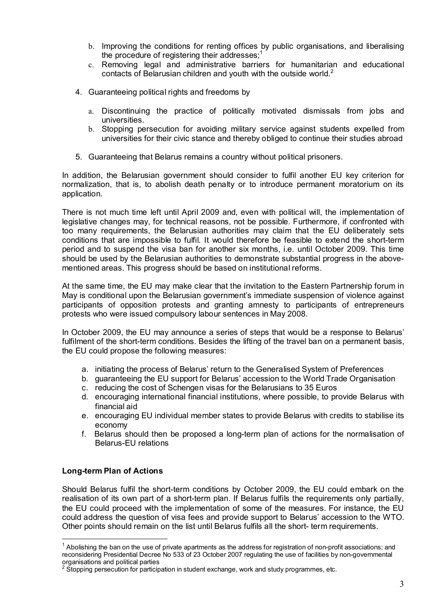- b. Improving the conditions for renting offices by public organisations, and liberalising the procedure of registering their addresses:<sup>1</sup>
- c. Removing legal and administrative barriers for humanitarian and educational contacts of Belarusian children and youth with the outside world. $2$
- 4. Guaranteeing political rights and freedoms by
	- a. Discontinuing the practice of politically motivated dismissals from jobs and universities.
	- b. Stopping persecution for avoiding military service against students expelled from universities for their civic stance and thereby obliged to continue their studies abroad
- 5. Guaranteeing that Belarus remains a country without political prisoners.

In addition, the Belarusian government should consider to fulfil another EU key criterion for normalization, that is, to abolish death penalty or to introduce permanent moratorium on its application.

There is not much time left until April 2009 and, even with political will, the implementation of legislative changes may, for technical reasons, not be possible. Furthermore, if confronted with too many requirements, the Belarusian authorities may claim that the EU deliberately sets conditions that are impossible to fulfil. It would therefore be feasible to extend the short-term period and to suspend the visa ban for another six months, i.e. until October 2009. This time should be used by the Belarusian authorities to demonstrate substantial progress in the abovementioned areas. This progress should be based on institutional reforms.

At the same time, the EU may make clear that the invitation to the Eastern Partnership forum in May is conditional upon the Belarusian government's immediate suspension of violence against participants of opposition protests and granting amnesty to participants of entrepreneurs protests who were issued compulsory labour sentences in May 2008.

In October 2009, the EU may announce a series of steps that would be a response to Belarus' fulfilment of the short-term conditions. Besides the lifting of the travel ban on a permanent basis, the EU could propose the following measures:

- a. initiating the process of Belarus' return to the Generalised System of Preferences
- b. guaranteeing the EU support for Belarus' accession to the World Trade Organisation
- c. reducing the cost of Schengen visas for the Belarusians to 35 Euros
- d. encouraging international financial institutions, where possible, to provide Belarus with financial aid
- e. encouraging EU individual member states to provide Belarus with credits to stabilise its economy
- f. Belarus should then be proposed a long-term plan of actions for the normalisation of Belarus-EU relations

# **Long-term Plan of Actions**

 $\overline{a}$ 

Should Belarus fulfil the short-term conditions by October 2009, the EU could embark on the realisation of its own part of a short-term plan. If Belarus fulfils the requirements only partially, the EU could proceed with the implementation of some of the measures. For instance, the EU could address the question of visa fees and provide support to Belarus' accession to the WTO. Other points should remain on the list until Belarus fulfils all the short- term requirements.

 $1$  Abolishing the ban on the use of private apartments as the address for registration of non-profit associations; and reconsidering Presidential Decree No 533 of 23 October 2007 regulating the use of facilities by non-governmental organisations and political parties

Stopping persecution for participation in student exchange, work and study programmes, etc.